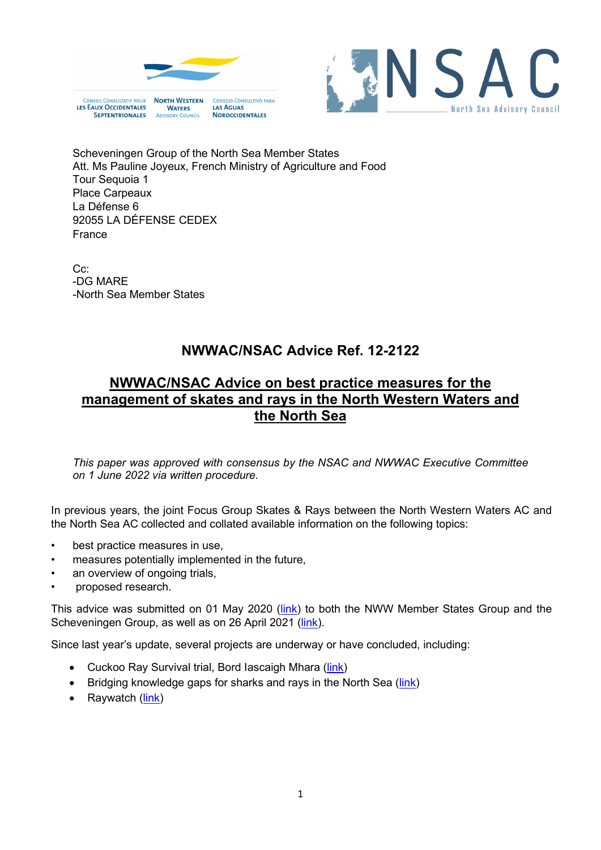



Scheveningen Group of the North Sea Member States Att. Ms Pauline Joyeux, French Ministry of Agriculture and Food Tour Sequoia 1 Place Carpeaux La Défense 6 92055 LA DÉFENSE CEDEX France

Cc: -DG MARE -North Sea Member States

## **NWWAC/NSAC Advice Ref. 12-2122**

## **NWWAC/NSAC Advice on best practice measures for the management of skates and rays in the North Western Waters and the North Sea**

*This paper was approved with consensus by the NSAC and NWWAC Executive Committee on 1 June 2022 via written procedure.*

In previous years, the joint Focus Group Skates & Rays between the North Western Waters AC and the North Sea AC collected and collated available information on the following topics:

- best practice measures in use,
- measures potentially implemented in the future.
- an overview of ongoing trials,
- proposed research.

This advice was submitted on 01 May 2020 [\(link\)](https://www.nwwac.org/publications/nwwac-advice-on-skates-and-rays.2838.html) to both the NWW Member States Group and the Scheveningen Group, as well as on 26 April 2021 [\(link\)](https://www.nwwac.org/publications/advice-on-best-practice-measures-for-the-management-of-skates-and-rays-in-the-north-western-waters.3372.html).

Since last year's update, several projects are underway or have concluded, including:

- Cuckoo Ray Survival trial, Bord lascaigh Mhara [\(link\)](https://www.nwwac.org/_fileupload/Focus%20Group%20Skates%20&%20Rays/02%20February%202022/NWWAC_NSAC%20Joint%20FG%20Skates%20%20Ray%2021%20Feb%2022_BIM.pdf)
- Bridging knowledge gaps for sharks and rays in the North Sea [\(link\)](https://www.nwwac.org/_fileupload/Focus%20Group%20Skates%20&%20Rays/Bridging%20knowledge%20gaps.pdf)
- Raywatch [\(link\)](https://www.nwwac.org/_fileupload/Focus%20Group%20Skates%20&%20Rays/presentation%20RayWatch_%20NWWAC-NSAC.pdf)